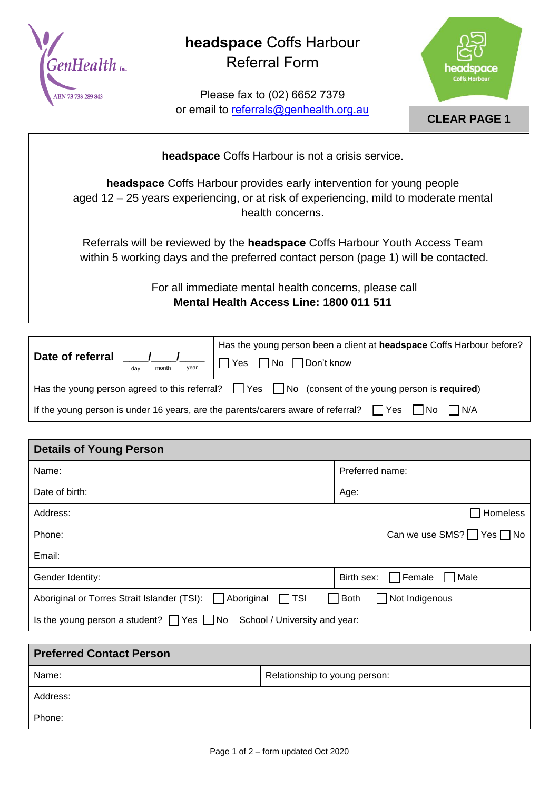

## **headspace** Coffs Harbour Referral Form

Please fax to (02) 6652 7379 or email to referrals@genhealth.org.au



## **CLEAR PAGE 1**

**headspace** Coffs Harbour is not a crisis service.

**headspace** Coffs Harbour provides early intervention for young people aged 12 – 25 years experiencing, or at risk of experiencing, mild to moderate mental health concerns.

Referrals will be reviewed by the **headspace** Coffs Harbour Youth Access Team within 5 working days and the preferred contact person (page 1) will be contacted.

> For all immediate mental health concerns, please call **Mental Health Access Line: 1800 011 511**

| Date of referral<br>h vear<br>month<br>dav                                                                   | Has the young person been a client at headspace Coffs Harbour before?<br>□ Yes □ No □ Don't know |  |  |
|--------------------------------------------------------------------------------------------------------------|--------------------------------------------------------------------------------------------------|--|--|
| Has the young person agreed to this referral? $\Box$ Yes $\Box$ No (consent of the young person is required) |                                                                                                  |  |  |
| If the young person is under 16 years, are the parents/carers aware of referral? $\Box$ Yes<br>INo IN/A      |                                                                                                  |  |  |

| <b>Details of Young Person</b>                                                          |                                            |  |  |  |
|-----------------------------------------------------------------------------------------|--------------------------------------------|--|--|--|
| Name:                                                                                   | Preferred name:                            |  |  |  |
| Date of birth:                                                                          | Age:                                       |  |  |  |
| Address:                                                                                | Homeless                                   |  |  |  |
| Phone:                                                                                  | Can we use SMS? $\Box$ Yes $\Box$ No       |  |  |  |
| Email:                                                                                  |                                            |  |  |  |
| Gender Identity:                                                                        | $\Box$ Female<br>$\Box$ Male<br>Birth sex: |  |  |  |
| Aboriginal<br>$\Box$ TSI<br>Aboriginal or Torres Strait Islander (TSI):<br>$\mathbf{1}$ | $\Box$ Not Indigenous<br><b>Both</b>       |  |  |  |
| Is the young person a student? $\Box$ Yes $\Box$ No<br>School / University and year:    |                                            |  |  |  |

| <b>Preferred Contact Person</b> |                               |  |  |
|---------------------------------|-------------------------------|--|--|
| Name:                           | Relationship to young person: |  |  |
| Address:                        |                               |  |  |
| Phone:                          |                               |  |  |